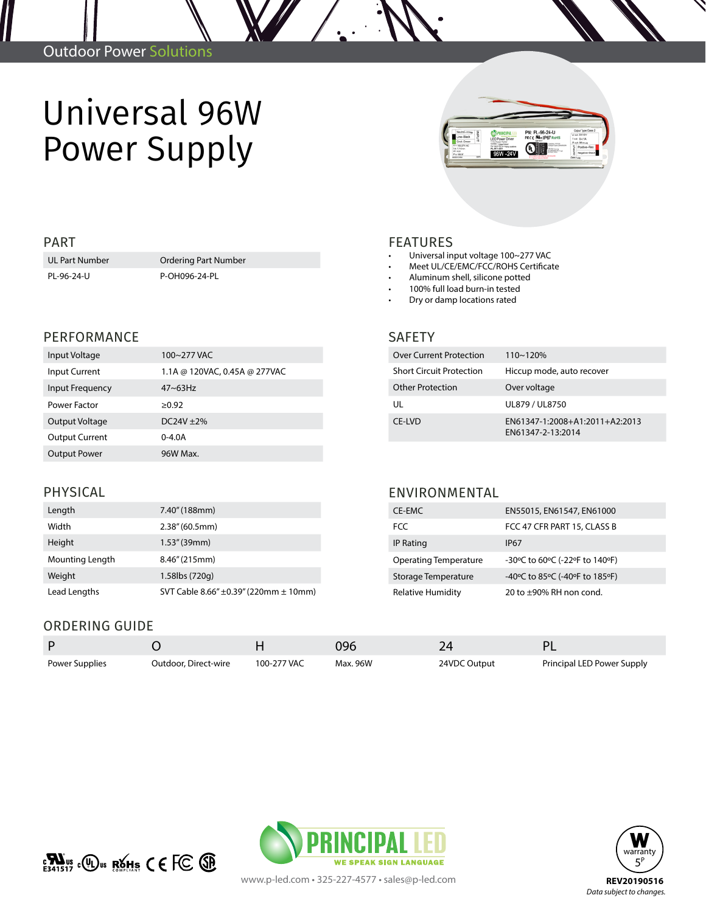## Universal 96W Power Supply

UL Part Number **Ordering Part Number** PL-96-24-U P-OH096-24-PL

#### PERFORMANCE

| Input Voltage         | 100~277 VAC                   |
|-----------------------|-------------------------------|
| Input Current         | 1.1A @ 120VAC, 0.45A @ 277VAC |
| Input Frequency       | $47 - 63$ Hz                  |
| Power Factor          | >0.92                         |
| Output Voltage        | $DC24V + 2%$                  |
| <b>Output Current</b> | $0 - 4.0A$                    |
| <b>Output Power</b>   | 96W Max.                      |

# **401**

### PART FEATURES

- Universal input voltage 100~277 VAC
- Meet UL/CE/EMC/FCC/ROHS Certificate
- Aluminum shell, silicone potted
- 100% full load burn-in tested
- Dry or damp locations rated

#### SAFETY

| <b>Over Current Protection</b>  | $110 - 120%$                                        |
|---------------------------------|-----------------------------------------------------|
| <b>Short Circuit Protection</b> | Hiccup mode, auto recover                           |
| <b>Other Protection</b>         | Over voltage                                        |
| UL                              | UL879 / UL8750                                      |
| CF-IVD                          | EN61347-1:2008+A1:2011+A2:2013<br>EN61347-2-13:2014 |

#### PHYSICAL

| Length          | 7.40" (188mm)                                  |
|-----------------|------------------------------------------------|
| Width           | 2.38''(60.5mm)                                 |
| Height          | 1.53''(39mm)                                   |
| Mounting Length | 8.46" (215mm)                                  |
| Weight          | 1.58lbs (720g)                                 |
| Lead Lengths    | SVT Cable 8.66" $\pm$ 0.39" (220mm $\pm$ 10mm) |

#### ENVIRONMENTAL

| CE-EMC                       | EN55015, EN61547, EN61000      |  |  |  |
|------------------------------|--------------------------------|--|--|--|
| FCC                          | FCC 47 CFR PART 15, CLASS B    |  |  |  |
| <b>IP Rating</b>             | <b>IP67</b>                    |  |  |  |
| <b>Operating Temperature</b> | -30°C to 60°C (-22°F to 140°F) |  |  |  |
| Storage Temperature          | -40°C to 85°C (-40°F to 185°F) |  |  |  |
| <b>Relative Humidity</b>     | 20 to $\pm$ 90% RH non cond.   |  |  |  |

### ORDERING GUIDE

|                |                      |             | 096      | 24           |                            |
|----------------|----------------------|-------------|----------|--------------|----------------------------|
| Power Supplies | Outdoor, Direct-wire | 100-277 VAC | Max. 96W | 24VDC Output | Principal LED Power Supply |







www.p-led.com • 325-227-4577 • sales@p-led.com